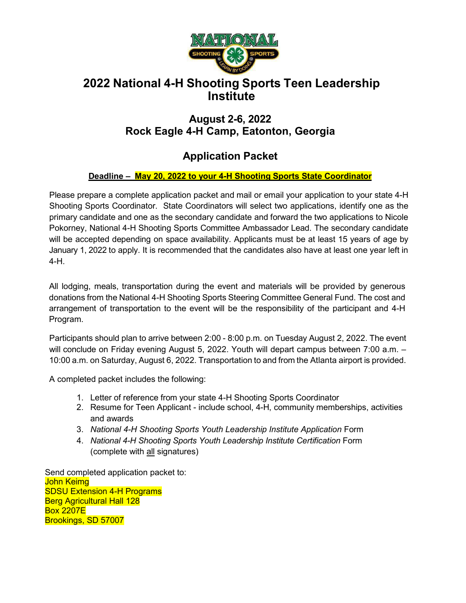

# **2022 National 4-H Shooting Sports Teen Leadership Institute**

## **August 2-6, 2022 Rock Eagle 4-H Camp, Eatonton, Georgia**

# **Application Packet**

#### **Deadline – May 20, 2022 to your 4-H Shooting Sports State Coordinator**

Please prepare a complete application packet and mail or email your application to your state 4-H Shooting Sports Coordinator. State Coordinators will select two applications, identify one as the primary candidate and one as the secondary candidate and forward the two applications to Nicole Pokorney, National 4-H Shooting Sports Committee Ambassador Lead. The secondary candidate will be accepted depending on space availability. Applicants must be at least 15 years of age by January 1, 2022 to apply. It is recommended that the candidates also have at least one year left in 4-H.

All lodging, meals, transportation during the event and materials will be provided by generous donations from the National 4-H Shooting Sports Steering Committee General Fund. The cost and arrangement of transportation to the event will be the responsibility of the participant and 4-H Program.

Participants should plan to arrive between 2:00 - 8:00 p.m. on Tuesday August 2, 2022. The event will conclude on Friday evening August 5, 2022. Youth will depart campus between 7:00 a.m. – 10:00 a.m. on Saturday, August 6, 2022. Transportation to and from the Atlanta airport is provided.

A completed packet includes the following:

- 1. Letter of reference from your state 4-H Shooting Sports Coordinator
- 2. Resume for Teen Applicant include school, 4-H, community memberships, activities and awards
- 3. *National 4-H Shooting Sports Youth Leadership Institute Application* Form
- 4. *National 4-H Shooting Sports Youth Leadership Institute Certification* Form (complete with all signatures)

Send completed application packet to: John Keimg SDSU Extension 4-H Programs Berg Agricultural Hall 128 Box 2207E Brookings, SD 57007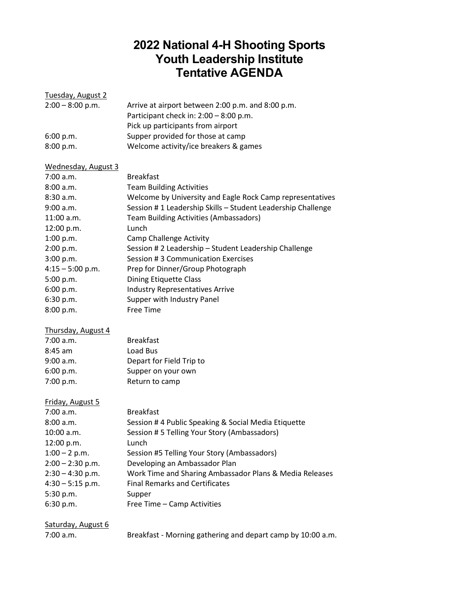# **2022 National 4-H Shooting Sports Youth Leadership Institute Tentative AGENDA**

| Tuesday, August 2   |                                                             |
|---------------------|-------------------------------------------------------------|
| $2:00 - 8:00$ p.m.  | Arrive at airport between 2:00 p.m. and 8:00 p.m.           |
|                     | Participant check in: 2:00 - 8:00 p.m.                      |
|                     | Pick up participants from airport                           |
| 6:00 p.m.           | Supper provided for those at camp                           |
| 8:00 p.m.           | Welcome activity/ice breakers & games                       |
| Wednesday, August 3 |                                                             |
| 7:00 a.m.           | <b>Breakfast</b>                                            |
| 8:00 a.m.           | <b>Team Building Activities</b>                             |
| 8:30 a.m.           | Welcome by University and Eagle Rock Camp representatives   |
| 9:00 a.m.           | Session #1 Leadership Skills - Student Leadership Challenge |
| $11:00$ a.m.        | <b>Team Building Activities (Ambassadors)</b>               |
| 12:00 p.m.          | Lunch                                                       |
| 1:00 p.m.           | <b>Camp Challenge Activity</b>                              |
| 2:00 p.m.           | Session # 2 Leadership - Student Leadership Challenge       |
| 3:00 p.m.           | Session #3 Communication Exercises                          |
| $4:15 - 5:00$ p.m.  | Prep for Dinner/Group Photograph                            |
| 5:00 p.m.           | <b>Dining Etiquette Class</b>                               |
| 6:00 p.m.           | <b>Industry Representatives Arrive</b>                      |
| 6:30 p.m.           | Supper with Industry Panel                                  |
| 8:00 p.m.           | <b>Free Time</b>                                            |
| Thursday, August 4  |                                                             |
| 7:00 a.m.           | <b>Breakfast</b>                                            |
| $8:45$ am           | Load Bus                                                    |
| 9:00 a.m.           | Depart for Field Trip to                                    |
| 6:00 p.m.           | Supper on your own                                          |
| 7:00 p.m.           | Return to camp                                              |
| Friday, August 5    |                                                             |
| 7:00 a.m.           | <b>Breakfast</b>                                            |
| 8:00 a.m.           | Session # 4 Public Speaking & Social Media Etiquette        |
| 10:00 a.m.          | Session # 5 Telling Your Story (Ambassadors)                |
| 12:00 p.m.          | Lunch                                                       |
| $1:00 - 2$ p.m.     | Session #5 Telling Your Story (Ambassadors)                 |
| $2:00 - 2:30$ p.m.  | Developing an Ambassador Plan                               |
| $2:30 - 4:30$ p.m.  | Work Time and Sharing Ambassador Plans & Media Releases     |
| $4:30 - 5:15$ p.m.  | <b>Final Remarks and Certificates</b>                       |
| 5:30 p.m.           | Supper                                                      |
| 6:30 p.m.           | Free Time - Camp Activities                                 |
| Saturday, August 6  |                                                             |
| 7:00 a.m.           | Breakfast - Morning gathering and depart camp by 10:00 a.m. |
|                     |                                                             |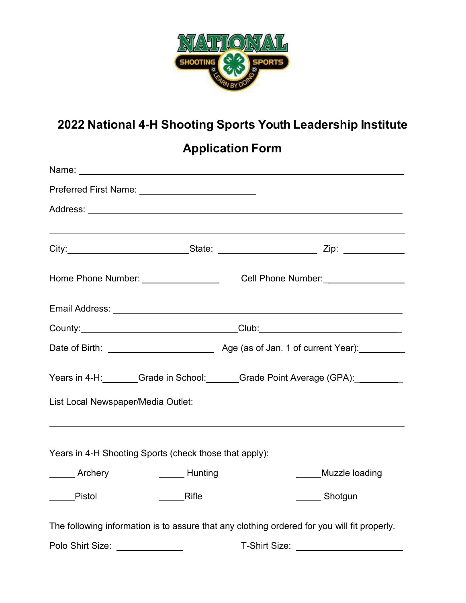

# **2022 National 4-H Shooting Sports Youth Leadership Institute**

**Application Form**

| Name: Name and the second contract of the second contract of the second contract of the second contract of the second contract of the second contract of the second contract of the second contract of the second contract of |                                                      |               |                |  |
|-------------------------------------------------------------------------------------------------------------------------------------------------------------------------------------------------------------------------------|------------------------------------------------------|---------------|----------------|--|
|                                                                                                                                                                                                                               |                                                      |               |                |  |
|                                                                                                                                                                                                                               |                                                      |               |                |  |
| City:__________________________________State: _____________________________Zip: ___________________                                                                                                                           |                                                      |               |                |  |
| Home Phone Number: _________________________________Cell Phone Number: _____________________________                                                                                                                          |                                                      |               |                |  |
| Email Address: Universe of the Contract of the Contract of the Contract of the Contract of the Contract of the                                                                                                                |                                                      |               |                |  |
|                                                                                                                                                                                                                               |                                                      |               |                |  |
|                                                                                                                                                                                                                               |                                                      |               |                |  |
| Years in 4-H: Grade in School: Grade Point Average (GPA): Case Corp.                                                                                                                                                          |                                                      |               |                |  |
| List Local Newspaper/Media Outlet:                                                                                                                                                                                            |                                                      |               |                |  |
| ,我们也不会有什么。""我们的人,我们也不会有什么?""我们的人,我们也不会有什么?""我们的人,我们也不会有什么?""我们的人,我们也不会有什么?""我们的人<br>Years in 4-H Shooting Sports (check those that apply):                                                                                    |                                                      |               |                |  |
| <b>Archery</b>                                                                                                                                                                                                                | <b>Example 1</b> Hunting                             |               | Muzzle loading |  |
| Pistol                                                                                                                                                                                                                        | Rifle                                                |               | ______ Shotgun |  |
| The following information is to assure that any clothing ordered for you will fit properly.                                                                                                                                   |                                                      |               |                |  |
| Polo Shirt Size:                                                                                                                                                                                                              | <u> 1989 - Johann Stein, Amerikaansk politiker (</u> | T-Shirt Size: |                |  |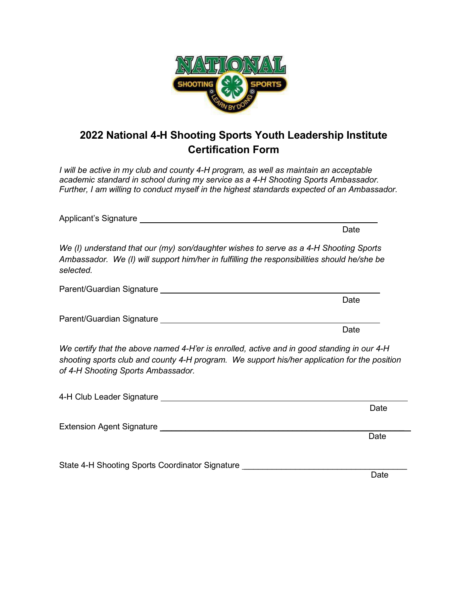

# **2022 National 4-H Shooting Sports Youth Leadership Institute Certification Form**

*I will be active in my club and county 4-H program, as well as maintain an acceptable academic standard in school during my service as a 4-H Shooting Sports Ambassador. Further, I am willing to conduct myself in the highest standards expected of an Ambassador.*

|                                                                                                                                                                                                                                  | Date |
|----------------------------------------------------------------------------------------------------------------------------------------------------------------------------------------------------------------------------------|------|
| We (I) understand that our (my) son/daughter wishes to serve as a 4-H Shooting Sports<br>Ambassador. We (I) will support him/her in fulfilling the responsibilities should he/she be<br>selected.                                |      |
|                                                                                                                                                                                                                                  |      |
|                                                                                                                                                                                                                                  | Date |
|                                                                                                                                                                                                                                  |      |
|                                                                                                                                                                                                                                  | Date |
| We certify that the above named 4-H'er is enrolled, active and in good standing in our 4-H<br>shooting sports club and county 4-H program. We support his/her application for the position<br>of 4-H Shooting Sports Ambassador. |      |
|                                                                                                                                                                                                                                  |      |
|                                                                                                                                                                                                                                  | Date |
|                                                                                                                                                                                                                                  |      |
|                                                                                                                                                                                                                                  | Date |
|                                                                                                                                                                                                                                  |      |
| State 4-H Shooting Sports Coordinator Signature                                                                                                                                                                                  |      |

de de la construcción de la construcción de la construcción de la construcción de la construcción de la constr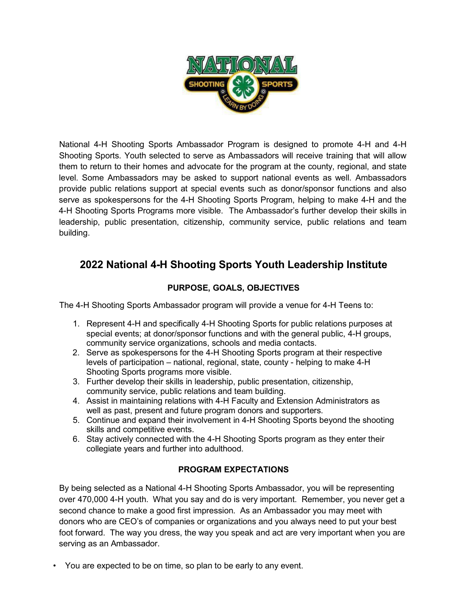

National 4-H Shooting Sports Ambassador Program is designed to promote 4-H and 4-H Shooting Sports. Youth selected to serve as Ambassadors will receive training that will allow them to return to their homes and advocate for the program at the county, regional, and state level. Some Ambassadors may be asked to support national events as well. Ambassadors provide public relations support at special events such as donor/sponsor functions and also serve as spokespersons for the 4-H Shooting Sports Program, helping to make 4-H and the 4-H Shooting Sports Programs more visible. The Ambassador's further develop their skills in leadership, public presentation, citizenship, community service, public relations and team building.

## **2022 National 4-H Shooting Sports Youth Leadership Institute**

### **PURPOSE, GOALS, OBJECTIVES**

The 4-H Shooting Sports Ambassador program will provide a venue for 4-H Teens to:

- 1. Represent 4-H and specifically 4-H Shooting Sports for public relations purposes at special events; at donor/sponsor functions and with the general public, 4-H groups, community service organizations, schools and media contacts.
- 2. Serve as spokespersons for the 4-H Shooting Sports program at their respective levels of participation – national, regional, state, county - helping to make 4-H Shooting Sports programs more visible.
- 3. Further develop their skills in leadership, public presentation, citizenship, community service, public relations and team building.
- 4. Assist in maintaining relations with 4-H Faculty and Extension Administrators as well as past, present and future program donors and supporters.
- 5. Continue and expand their involvement in 4-H Shooting Sports beyond the shooting skills and competitive events.
- 6. Stay actively connected with the 4-H Shooting Sports program as they enter their collegiate years and further into adulthood.

### **PROGRAM EXPECTATIONS**

By being selected as a National 4-H Shooting Sports Ambassador, you will be representing over 470,000 4-H youth. What you say and do is very important. Remember, you never get a second chance to make a good first impression. As an Ambassador you may meet with donors who are CEO's of companies or organizations and you always need to put your best foot forward. The way you dress, the way you speak and act are very important when you are serving as an Ambassador.

• You are expected to be on time, so plan to be early to any event.